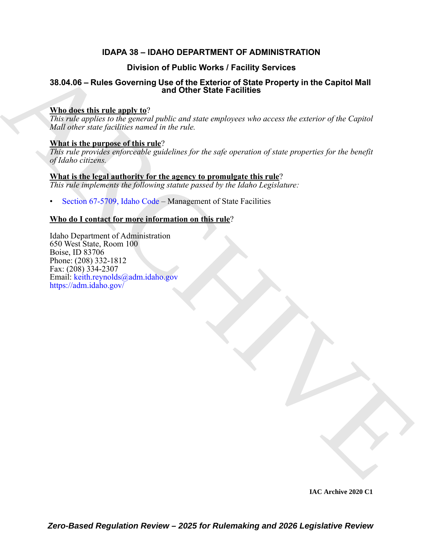# **IDAPA 38 – IDAHO DEPARTMENT OF ADMINISTRATION**

# **Division of Public Works / Facility Services**

# **38.04.06 – Rules Governing Use of the Exterior of State Property in the Capitol Mall and Other State Facilities**

## **Who does this rule apply to**?

*This rule applies to the general public and state employees who access the exterior of the Capitol Mall other state facilities named in the rule.* 

## **What is the purpose of this rule**?

*This rule provides enforceable guidelines for the safe operation of state properties for the benefit of Idaho citizens.*

## **What is the legal authority for the agency to promulgate this rule**? *This rule implements the following statute passed by the Idaho Legislature:*

• Section 67-5709, Idaho Code – Management of State Facilities

## **Who do I contact for more information on this rule**?

Division of Publis Works I Facility Services<br>
38.04.06 – [R](https://legislature.idaho.gov/statutesrules/idstat/Title67/T67CH57/SECT67-5709/)ules Governing Used of the Extender of State Property in the [C](mailto: keith.reynolds@adm.idaho.gov)apitol Mall<br>
What detect this results to the general guide and state multiplier who recens the asset Idaho Department of Administration 650 West State, Room 100 Boise, ID 83706 Phone: (208) 332-1812 Fax: (208) 334-2307 Email: keith.reynolds@adm.idaho.gov https://adm.idaho.gov/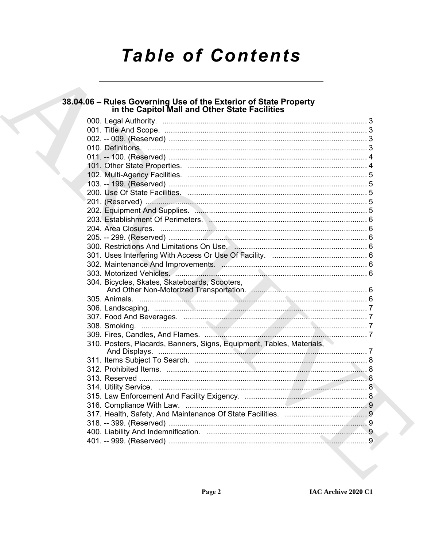# **Table of Contents**

# 38.04.06 - Rules Governing Use of the Exterior of State Property<br>in the Capitol Mall and Other State Facilities

|  | 304. Bicycles, Skates, Skateboards, Scooters,                         |  |
|--|-----------------------------------------------------------------------|--|
|  |                                                                       |  |
|  |                                                                       |  |
|  |                                                                       |  |
|  |                                                                       |  |
|  |                                                                       |  |
|  | 310. Posters, Placards, Banners, Signs, Equipment, Tables, Materials, |  |
|  |                                                                       |  |
|  |                                                                       |  |
|  |                                                                       |  |
|  |                                                                       |  |
|  |                                                                       |  |
|  |                                                                       |  |
|  |                                                                       |  |
|  |                                                                       |  |
|  |                                                                       |  |
|  |                                                                       |  |
|  |                                                                       |  |
|  |                                                                       |  |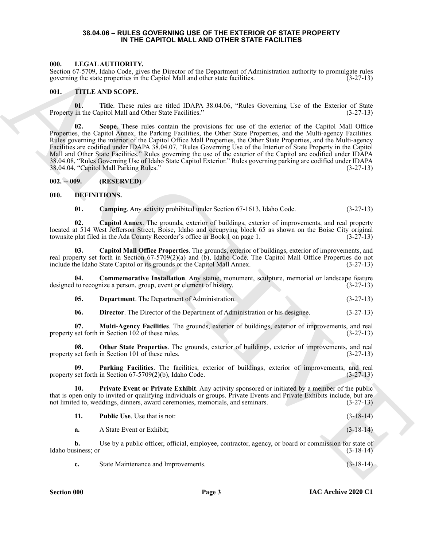### **38.04.06 – RULES GOVERNING USE OF THE EXTERIOR OF STATE PROPERTY IN THE CAPITOL MALL AND OTHER STATE FACILITIES**

### <span id="page-2-17"></span><span id="page-2-1"></span><span id="page-2-0"></span>**000. LEGAL AUTHORITY.**

Section 67-5709, Idaho Code, gives the Director of the Department of Administration authority to promulgate rules governing the state properties in the Capitol Mall and other state facilities. (3-27-13)

### <span id="page-2-18"></span><span id="page-2-2"></span>**001. TITLE AND SCOPE.**

**01.** Title. These rules are titled IDAPA 38.04.06, "Rules Governing Use of the Exterior of State in the Capitol Mall and Other State Facilities." (3-27-13) Property in the Capitol Mall and Other State Facilities."

66. In CRAIN ARTIFICANT Constructed in the Department of Administration and not are provided to the system of the constraints and the properties the system of the Constraints and the system of the Constraints and the syst **02. Scope**. These rules contain the provisions for use of the exterior of the Capitol Mall Office Properties, the Capitol Annex, the Parking Facilities, the Other State Properties, and the Multi-agency Facilities. Rules governing the interior of the Capitol Office Mall Properties, the Other State Properties, and the Multi-agency Facilities are codified under IDAPA 38.04.07, "Rules Governing Use of the Interior of State Property in the Capitol Mall and Other State Facilities." Rules governing the use of the exterior of the Capitol are codified under IDAPA 38.04.08, "Rules Governing Use of Idaho State Capitol Exterior." Rules governing parking are codified under IDAPA 38.04.04, "Capitol Mall Parking Rules." (3-27-13)

### <span id="page-2-3"></span>**002. -- 009. (RESERVED)**

### <span id="page-2-4"></span>**010. DEFINITIONS.**

<span id="page-2-8"></span><span id="page-2-7"></span><span id="page-2-6"></span><span id="page-2-5"></span>

| 01. |  | Camping. Any activity prohibited under Section 67-1613, Idaho Code. | $(3-27-13)$ |
|-----|--|---------------------------------------------------------------------|-------------|
|     |  |                                                                     |             |

**02. Capitol Annex**. The grounds, exterior of buildings, exterior of improvements, and real property located at 514 West Jefferson Street, Boise, Idaho and occupying block 65 as shown on the Boise City original townsite plat filed in the Ada County Recorder's office in Book 1 on page 1. (3-27-13)

**03. Capitol Mall Office Properties**. The grounds, exterior of buildings, exterior of improvements, and real property set forth in Section 67-5709(2)(a) and (b), Idaho Code. The Capitol Mall Office Properties do not include the Idaho State Capitol or its grounds or the Capitol Mall Annex. (3-27-13)

**04. Commemorative Installation**. Any statue, monument, sculpture, memorial or landscape feature designed to recognize a person, group, event or element of history. (3-27-13)

<span id="page-2-10"></span><span id="page-2-9"></span>**05. Department**. The Department of Administration. (3-27-13)

<span id="page-2-13"></span><span id="page-2-12"></span><span id="page-2-11"></span>**06. Director**. The Director of the Department of Administration or his designee. (3-27-13)

**07. Multi-Agency Facilities**. The grounds, exterior of buildings, exterior of improvements, and real set forth in Section 102 of these rules. (3-27-13) property set forth in Section  $10\overline{2}$  of these rules.

**08. Other State Properties**. The grounds, exterior of buildings, exterior of improvements, and real property set forth in Section 101 of these rules. (3-27-13)

<span id="page-2-14"></span>**09. Parking Facilities**. The facilities, exterior of buildings, exterior of improvements, and real property set forth in Section  $67-5709(2)(b)$ , Idaho Code.

**10. Private Event or Private Exhibit**. Any activity sponsored or initiated by a member of the public that is open only to invited or qualifying individuals or groups. Private Events and Private Exhibits include, but are not limited to, weddings, dinners, award ceremonies, memorials, and seminars. (3-27-13)

<span id="page-2-16"></span><span id="page-2-15"></span>

| <b>Public Use.</b> Use that is not:<br>11. | $(3-18-14)$ |  |
|--------------------------------------------|-------------|--|
|--------------------------------------------|-------------|--|

**a.** A State Event or Exhibit; (3-18-14)

**b.** Use by a public officer, official, employee, contractor, agency, or board or commission for state of Idaho business; or (3-18-14)

**c.** State Maintenance and Improvements. (3-18-14)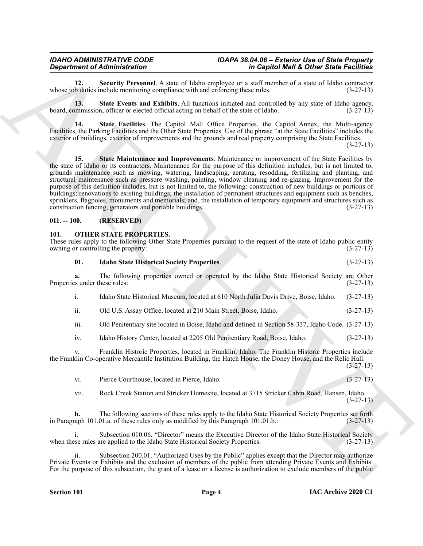### <span id="page-3-5"></span><span id="page-3-0"></span>**011. -- 100. (RESERVED)**

### <span id="page-3-7"></span><span id="page-3-6"></span><span id="page-3-1"></span>**101. OTHER STATE PROPERTIES.**

<span id="page-3-4"></span><span id="page-3-3"></span><span id="page-3-2"></span>

|                                     | <b>Department of Administration</b>                                                                                                                                                                                                                                                                                                                                                                                                                                                                                                                                                                                                                                                                                                                                                                                                                                                           | in Capitol Mall & Other State Facilities |  |  |
|-------------------------------------|-----------------------------------------------------------------------------------------------------------------------------------------------------------------------------------------------------------------------------------------------------------------------------------------------------------------------------------------------------------------------------------------------------------------------------------------------------------------------------------------------------------------------------------------------------------------------------------------------------------------------------------------------------------------------------------------------------------------------------------------------------------------------------------------------------------------------------------------------------------------------------------------------|------------------------------------------|--|--|
| 12.                                 | Security Personnel. A state of Idaho employee or a staff member of a state of Idaho contractor<br>whose job duties include monitoring compliance with and enforcing these rules.                                                                                                                                                                                                                                                                                                                                                                                                                                                                                                                                                                                                                                                                                                              | $(3-27-13)$                              |  |  |
| 13.                                 | State Events and Exhibits. All functions initiated and controlled by any state of Idaho agency,<br>board, commission, officer or elected official acting on behalf of the state of Idaho.                                                                                                                                                                                                                                                                                                                                                                                                                                                                                                                                                                                                                                                                                                     | $(3-27-13)$                              |  |  |
| 14.                                 | State Facilities. The Capitol Mall Office Properties, the Capitol Annex, the Multi-agency<br>Facilities, the Parking Facilities and the Other State Properties. Use of the phrase "at the State Facilities" includes the<br>exterior of buildings, exterior of improvements and the grounds and real property comprising the State Facilities.                                                                                                                                                                                                                                                                                                                                                                                                                                                                                                                                                | $(3-27-13)$                              |  |  |
| 15.                                 | State Maintenance and Improvements. Maintenance or improvement of the State Facilities by<br>the state of Idaho or its contractors. Maintenance for the purpose of this definition includes, but is not limited to,<br>grounds maintenance such as mowing, watering, landscaping, aerating, resodding, fertilizing and planting, and<br>structural maintenance such as pressure washing, painting, window cleaning and re-glazing. Improvement for the<br>purpose of this definition includes, but is not limited to, the following: construction of new buildings or portions of<br>buildings; renovations to existing buildings; the installation of permanent structures and equipment such as benches,<br>sprinklers, flagpoles, monuments and memorials; and, the installation of temporary equipment and structures such as<br>construction fencing, generators and portable buildings. | $(3-27-13)$                              |  |  |
| $011. - 100.$                       | (RESERVED)                                                                                                                                                                                                                                                                                                                                                                                                                                                                                                                                                                                                                                                                                                                                                                                                                                                                                    |                                          |  |  |
| 101.                                | <b>OTHER STATE PROPERTIES.</b><br>These rules apply to the following Other State Properties pursuant to the request of the state of Idaho public entity<br>owning or controlling the property:                                                                                                                                                                                                                                                                                                                                                                                                                                                                                                                                                                                                                                                                                                | $(3-27-13)$                              |  |  |
| 01.                                 | <b>Idaho State Historical Society Properties.</b>                                                                                                                                                                                                                                                                                                                                                                                                                                                                                                                                                                                                                                                                                                                                                                                                                                             | $(3-27-13)$                              |  |  |
| a.<br>Properties under these rules: | The following properties owned or operated by the Idaho State Historical Society are Other                                                                                                                                                                                                                                                                                                                                                                                                                                                                                                                                                                                                                                                                                                                                                                                                    | $(3-27-13)$                              |  |  |
| i.                                  | Idaho State Historical Museum, located at 610 North Julia Davis Drive, Boise, Idaho.                                                                                                                                                                                                                                                                                                                                                                                                                                                                                                                                                                                                                                                                                                                                                                                                          | $(3-27-13)$                              |  |  |
| ii.                                 | Old U.S. Assay Office, located at 210 Main Street, Boise, Idaho.                                                                                                                                                                                                                                                                                                                                                                                                                                                                                                                                                                                                                                                                                                                                                                                                                              | $(3-27-13)$                              |  |  |
| iii.                                | Old Penitentiary site located in Boise, Idaho and defined in Section 58-337, Idaho Code. (3-27-13)                                                                                                                                                                                                                                                                                                                                                                                                                                                                                                                                                                                                                                                                                                                                                                                            |                                          |  |  |
| iv.                                 | Idaho History Center, located at 2205 Old Penitentiary Road, Boise, Idaho.                                                                                                                                                                                                                                                                                                                                                                                                                                                                                                                                                                                                                                                                                                                                                                                                                    | $(3-27-13)$                              |  |  |
| V.                                  | Franklin Historic Properties, located in Franklin, Idaho. The Franklin Historic Properties include<br>the Franklin Co-operative Mercantile Institution Building, the Hatch House, the Doney House, and the Relic Hall.                                                                                                                                                                                                                                                                                                                                                                                                                                                                                                                                                                                                                                                                        | $(3-27-13)$                              |  |  |
| vi.                                 | Pierce Courthouse, located in Pierce, Idaho.                                                                                                                                                                                                                                                                                                                                                                                                                                                                                                                                                                                                                                                                                                                                                                                                                                                  | $(3-27-13)$                              |  |  |
| vii.                                | Rock Creek Station and Stricker Homesite, located at 3715 Stricker Cabin Road, Hansen, Idaho.                                                                                                                                                                                                                                                                                                                                                                                                                                                                                                                                                                                                                                                                                                                                                                                                 | $(3-27-13)$                              |  |  |
|                                     |                                                                                                                                                                                                                                                                                                                                                                                                                                                                                                                                                                                                                                                                                                                                                                                                                                                                                               |                                          |  |  |
| b.                                  | The following sections of these rules apply to the Idaho State Historical Society Properties set forth<br>in Paragraph 101.01.a. of these rules only as modified by this Paragraph 101.01.b.:                                                                                                                                                                                                                                                                                                                                                                                                                                                                                                                                                                                                                                                                                                 | $(3-27-13)$                              |  |  |
| i.                                  | Subsection 010.06. "Director" means the Executive Director of the Idaho State Historical Society<br>when these rules are applied to the Idaho State Historical Society Properties.                                                                                                                                                                                                                                                                                                                                                                                                                                                                                                                                                                                                                                                                                                            | $(3-27-13)$                              |  |  |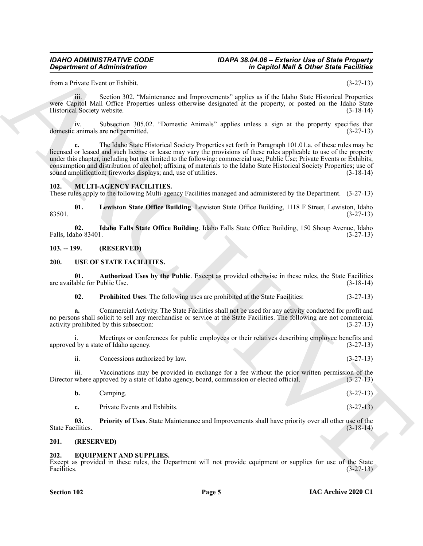from a Private Event or Exhibit. (3-27-13)

iii. Section 302. "Maintenance and Improvements" applies as if the Idaho State Historical Properties were Capitol Mall Office Properties unless otherwise designated at the property, or posted on the Idaho State Historical Society website. (3-18-14)

iv. Subsection 305.02. "Domestic Animals" applies unless a sign at the property specifies that domestic animals are not permitted.

**Constraints of Administration**<br>
Learn Theoretics and the proposalization of the fight of the fight of the fight of the specific section<br>
Learn the state of the specific section of the specific section of the specific sec **c.** The Idaho State Historical Society Properties set forth in Paragraph 101.01.a. of these rules may be licensed or leased and such license or lease may vary the provisions of these rules applicable to use of the property under this chapter, including but not limited to the following: commercial use; Public Use; Private Events or Exhibits; consumption and distribution of alcohol; affixing of materials to the Idaho State Historical Society Properties; use of sound amplification; fireworks displays; and, use of utilities. (3-18-14)

### <span id="page-4-6"></span><span id="page-4-0"></span>**102. MULTI-AGENCY FACILITIES.**

These rules apply to the following Multi-agency Facilities managed and administered by the Department. (3-27-13)

<span id="page-4-8"></span>**01. Lewiston State Office Building**. Lewiston State Office Building, 1118 F Street, Lewiston, Idaho  $83501.$  (3-27-13)

<span id="page-4-7"></span>**02. Idaho Falls State Office Building**. Idaho Falls State Office Building, 150 Shoup Avenue, Idaho Falls, Idaho 83401. (3-27-13)

<span id="page-4-1"></span>**103. -- 199. (RESERVED)**

### <span id="page-4-9"></span><span id="page-4-2"></span>**200. USE OF STATE FACILITIES.**

**01. Authorized Uses by the Public**. Except as provided otherwise in these rules, the State Facilities are available for Public Use. (3-18-14)

<span id="page-4-12"></span><span id="page-4-10"></span>**02. Prohibited Uses**. The following uses are prohibited at the State Facilities: (3-27-13)

**a.** Commercial Activity. The State Facilities shall not be used for any activity conducted for profit and no persons shall solicit to sell any merchandise or service at the State Facilities. The following are not commercial activity prohibited by this subsection: (3-27-13)

Meetings or conferences for public employees or their relatives describing employee benefits and approved by a state of Idaho agency. (3-27-13)

ii. Concessions authorized by law.  $(3-27-13)$ 

iii. Vaccinations may be provided in exchange for a fee without the prior written permission of the where approved by a state of Idaho agency, board, commission or elected official. (3-27-13) Director where approved by a state of Idaho agency, board, commission or elected official.

<span id="page-4-11"></span>

| ampıng.                      | $(3-27-13)$ |
|------------------------------|-------------|
| Private Events and Exhibits. | $(3-27-13)$ |

**03. Priority of Uses**. State Maintenance and Improvements shall have priority over all other use of the State Facilities. (3-18-14)

### <span id="page-4-3"></span>**201. (RESERVED)**

### <span id="page-4-5"></span><span id="page-4-4"></span>**202. EQUIPMENT AND SUPPLIES.**

Except as provided in these rules, the Department will not provide equipment or supplies for use of the State Facilities. (3-27-13)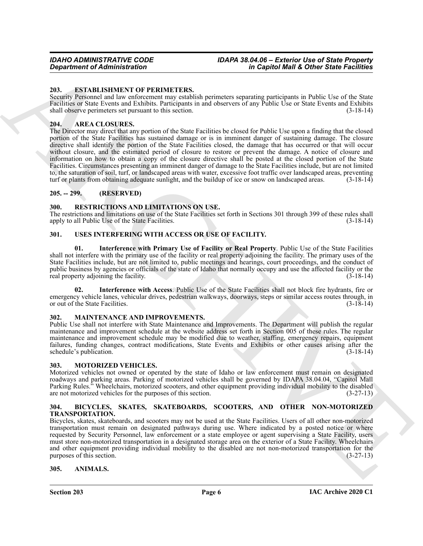### <span id="page-5-12"></span><span id="page-5-0"></span>**203. ESTABLISHMENT OF PERIMETERS.**

Security Personnel and law enforcement may establish perimeters separating participants in Public Use of the State Facilities or State Events and Exhibits. Participants in and observers of any Public Use or State Events and Exhibits shall observe perimeters set pursuant to this section. (3-18-14)

### <span id="page-5-10"></span><span id="page-5-1"></span>**204. AREA CLOSURES.**

**Expansion of Administration**<br>
26. **Expansion of Administration**<br>
28. **Expansion of Administration**<br>
28. **Expansion of Administration**<br>
28. **Expansion of Administration**<br>
28. **Expansion of Administration**<br>
28. **ARCHIVERS** The Director may direct that any portion of the State Facilities be closed for Public Use upon a finding that the closed portion of the State Facilities has sustained damage or is in imminent danger of sustaining damage. The closure directive shall identify the portion of the State Facilities closed, the damage that has occurred or that will occur without closure, and the estimated period of closure to restore or prevent the damage. A notice of closure and information on how to obtain a copy of the closure directive shall be posted at the closed portion of the State Facilities. Circumstances presenting an imminent danger of damage to the State Facilities include, but are not limited to, the saturation of soil, turf, or landscaped areas with water, excessive foot traffic over landscaped areas, preventing turf or plants from obtaining adequate sunlight, and the buildup of ice or snow on landscaped areas. (3-18-14)

### <span id="page-5-2"></span>**205. -- 299. (RESERVED)**

### <span id="page-5-15"></span><span id="page-5-3"></span>**300. RESTRICTIONS AND LIMITATIONS ON USE.**

The restrictions and limitations on use of the State Facilities set forth in Sections 301 through 399 of these rules shall apply to all Public Use of the State Facilities. (3-18-14)

### <span id="page-5-16"></span><span id="page-5-4"></span>**301. USES INTERFERING WITH ACCESS OR USE OF FACILITY.**

<span id="page-5-18"></span>**01. Interference with Primary Use of Facility or Real Property**. Public Use of the State Facilities shall not interfere with the primary use of the facility or real property adjoining the facility. The primary uses of the State Facilities include, but are not limited to, public meetings and hearings, court proceedings, and the conduct of public business by agencies or officials of the state of Idaho that normally occupy and use the affected facility or the real property adjoining the facility. real property adjoining the facility.

<span id="page-5-17"></span>**02. Interference with Access**. Public Use of the State Facilities shall not block fire hydrants, fire or emergency vehicle lanes, vehicular drives, pedestrian walkways, doorways, steps or similar access routes through, in or out of the State Facilities. (3-18-14)

### <span id="page-5-13"></span><span id="page-5-5"></span>**302. MAINTENANCE AND IMPROVEMENTS.**

Public Use shall not interfere with State Maintenance and Improvements. The Department will publish the regular maintenance and improvement schedule at the website address set forth in Section 005 of these rules. The regular maintenance and improvement schedule may be modified due to weather, staffing, emergency repairs, equipment failures, funding changes, contract modifications, State Events and Exhibits or other causes arising after the schedule's publication. (3-18-14) schedule's publication.

### <span id="page-5-14"></span><span id="page-5-6"></span>**303. MOTORIZED VEHICLES.**

Motorized vehicles not owned or operated by the state of Idaho or law enforcement must remain on designated roadways and parking areas. Parking of motorized vehicles shall be governed by IDAPA 38.04.04, "Capitol Mall Parking Rules." Wheelchairs, motorized scooters, and other equipment providing individual mobility to the disabled are not motorized vehicles for the purposes of this section. (3-27-13) are not motorized vehicles for the purposes of this section.

### <span id="page-5-11"></span><span id="page-5-7"></span>**304. BICYCLES, SKATES, SKATEBOARDS, SCOOTERS, AND OTHER NON-MOTORIZED TRANSPORTATION.**

Bicycles, skates, skateboards, and scooters may not be used at the State Facilities. Users of all other non-motorized transportation must remain on designated pathways during use. Where indicated by a posted notice or where requested by Security Personnel, law enforcement or a state employee or agent supervising a State Facility, users must store non-motorized transportation in a designated storage area on the exterior of a State Facility. Wheelchairs and other equipment providing individual mobility to the disabled are not non-motorized transportation for the purposes of this section. (3-27-13) purposes of this section.

### <span id="page-5-9"></span><span id="page-5-8"></span>**305. ANIMALS.**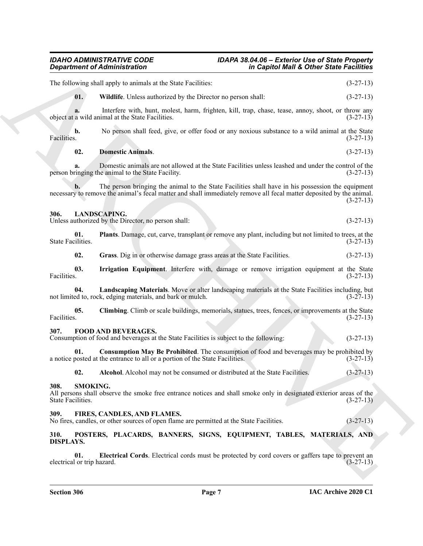### <span id="page-6-19"></span><span id="page-6-18"></span><span id="page-6-17"></span><span id="page-6-16"></span><span id="page-6-15"></span><span id="page-6-14"></span><span id="page-6-13"></span><span id="page-6-12"></span><span id="page-6-11"></span><span id="page-6-10"></span><span id="page-6-9"></span><span id="page-6-8"></span><span id="page-6-7"></span><span id="page-6-6"></span><span id="page-6-5"></span><span id="page-6-0"></span>*IDAHO ADMINISTRATIVE CODE IDAPA 38.04.06 – Exterior Use of State Property Department of Administration in Capitol Mall & Other State Facilities*

<span id="page-6-4"></span><span id="page-6-3"></span><span id="page-6-2"></span><span id="page-6-1"></span>

|                                   | in Capitol Mall & Other State Facilities<br><b>Department of Administration</b>                                                                                                                                           |             |
|-----------------------------------|---------------------------------------------------------------------------------------------------------------------------------------------------------------------------------------------------------------------------|-------------|
|                                   | The following shall apply to animals at the State Facilities:                                                                                                                                                             | $(3-27-13)$ |
| 01.                               | Wildlife. Unless authorized by the Director no person shall:                                                                                                                                                              | $(3-27-13)$ |
| a.                                | Interfere with, hunt, molest, harm, frighten, kill, trap, chase, tease, annoy, shoot, or throw any<br>object at a wild animal at the State Facilities.                                                                    | $(3-27-13)$ |
| b.<br>Facilities.                 | No person shall feed, give, or offer food or any noxious substance to a wild animal at the State                                                                                                                          | $(3-27-13)$ |
| 02.                               | <b>Domestic Animals.</b>                                                                                                                                                                                                  | $(3-27-13)$ |
| a.                                | Domestic animals are not allowed at the State Facilities unless leashed and under the control of the<br>person bringing the animal to the State Facility.                                                                 | $(3-27-13)$ |
| b.                                | The person bringing the animal to the State Facilities shall have in his possession the equipment<br>necessary to remove the animal's fecal matter and shall immediately remove all fecal matter deposited by the animal. | $(3-27-13)$ |
| 306.                              | <b>LANDSCAPING.</b><br>Unless authorized by the Director, no person shall:                                                                                                                                                | $(3-27-13)$ |
| 01.<br>State Facilities.          | Plants. Damage, cut, carve, transplant or remove any plant, including but not limited to trees, at the                                                                                                                    | $(3-27-13)$ |
| 02.                               | Grass. Dig in or otherwise damage grass areas at the State Facilities.                                                                                                                                                    | $(3-27-13)$ |
| 03.<br>Facilities.                | Irrigation Equipment. Interfere with, damage or remove irrigation equipment at the State                                                                                                                                  | $(3-27-13)$ |
| 04.                               | Landscaping Materials. Move or alter landscaping materials at the State Facilities including, but<br>not limited to, rock, edging materials, and bark or mulch.                                                           | $(3-27-13)$ |
| 05.<br>Facilities.                | Climbing. Climb or scale buildings, memorials, statues, trees, fences, or improvements at the State                                                                                                                       | $(3-27-13)$ |
| 307.                              | <b>FOOD AND BEVERAGES.</b><br>Consumption of food and beverages at the State Facilities is subject to the following:                                                                                                      | $(3-27-13)$ |
| 01.                               | <b>Consumption May Be Prohibited</b> . The consumption of food and beverages may be prohibited by<br>a notice posted at the entrance to all or a portion of the State Facilities.                                         | $(3-27-13)$ |
| 02.                               | Alcohol. Alcohol may not be consumed or distributed at the State Facilities.                                                                                                                                              | $(3-27-13)$ |
| 308.<br>State Facilities.         | SMOKING.<br>All persons shall observe the smoke free entrance notices and shall smoke only in designated exterior areas of the                                                                                            | $(3-27-13)$ |
| 309.                              | FIRES, CANDLES, AND FLAMES.<br>No fires, candles, or other sources of open flame are permitted at the State Facilities.                                                                                                   | $(3-27-13)$ |
| 310.<br><b>DISPLAYS.</b>          | POSTERS, PLACARDS, BANNERS, SIGNS, EQUIPMENT, TABLES, MATERIALS, AND                                                                                                                                                      |             |
| 01.<br>electrical or trip hazard. | Electrical Cords. Electrical cords must be protected by cord covers or gaffers tape to prevent an                                                                                                                         | $(3-27-13)$ |
|                                   |                                                                                                                                                                                                                           |             |
|                                   |                                                                                                                                                                                                                           |             |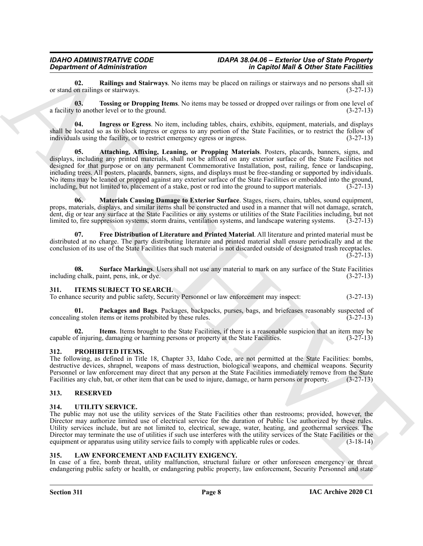<span id="page-7-13"></span>**02. Railings and Stairways**. No items may be placed on railings or stairways and no persons shall sit or stand on railings or stairways.

<span id="page-7-14"></span>**03. Tossing or Dropping Items**. No items may be tossed or dropped over railings or from one level of a facility to another level or to the ground. (3-27-13)

<span id="page-7-11"></span><span id="page-7-9"></span>**04. Ingress or Egress**. No item, including tables, chairs, exhibits, equipment, materials, and displays shall be located so as to block ingress or egress to any portion of the State Facilities, or to restrict the follow of individuals using the facility, or to restrict emergency egress or ingress. (3-27-13)

*Construction Construction Construction Construction Construction Construction Construction Construction Construction Construction Construction Construction Construction Construction Construction Construction Constructio* **05. Attaching, Affixing, Leaning, or Propping Materials**. Posters, placards, banners, signs, and displays, including any printed materials, shall not be affixed on any exterior surface of the State Facilities not designed for that purpose or on any permanent Commemorative Installation, post, railing, fence or landscaping, including trees. All posters, placards, banners, signs, and displays must be free-standing or supported by individuals. No items may be leaned or propped against any exterior surface of the State Facilities or embedded into the ground, including, but not limited to, placement of a stake, post or rod into the ground to support materials. (3-27-13)

<span id="page-7-12"></span>**06. Materials Causing Damage to Exterior Surface**. Stages, risers, chairs, tables, sound equipment, props, materials, displays, and similar items shall be constructed and used in a manner that will not damage, scratch, dent, dig or tear any surface at the State Facilities or any systems or utilities of the State Facilities including, but not limited to, fire suppression systems, storm drains, ventilation systems, and landscape watering systems. (3-27-13)

<span id="page-7-10"></span>**07. Free Distribution of Literature and Printed Material**. All literature and printed material must be distributed at no charge. The party distributing literature and printed material shall ensure periodically and at the conclusion of its use of the State Facilities that such material is not discarded outside of designated trash receptacles.  $(3-27-13)$ 

<span id="page-7-16"></span>**08.** Surface Markings. Users shall not use any material to mark on any surface of the State Facilities *g* chalk, paint, pens, ink, or dye. (3-27-13) including chalk, paint, pens, ink, or dye.

### <span id="page-7-5"></span><span id="page-7-0"></span>**311. ITEMS SUBJECT TO SEARCH.**

<span id="page-7-7"></span>To enhance security and public safety, Security Personnel or law enforcement may inspect: (3-27-13)

**01. Packages and Bags**. Packages, backpacks, purses, bags, and briefcases reasonably suspected of ng stolen items or items prohibited by these rules. (3-27-13) concealing stolen items or items prohibited by these rules.

<span id="page-7-6"></span>**02. Items**. Items brought to the State Facilities, if there is a reasonable suspicion that an item may be capable of injuring, damaging or harming persons or property at the State Facilities. (3-27-13)

### <span id="page-7-15"></span><span id="page-7-1"></span>**312. PROHIBITED ITEMS.**

The following, as defined in Title 18, Chapter 33, Idaho Code, are not permitted at the State Facilities: bombs, destructive devices, shrapnel, weapons of mass destruction, biological weapons, and chemical weapons. Security Personnel or law enforcement may direct that any person at the State Facilities immediately remove from the State Facilities any club, bat, or other item that can be used to injure, damage, or harm persons or property. (3-27-13)

### <span id="page-7-2"></span>**313. RESERVED**

### <span id="page-7-17"></span><span id="page-7-3"></span>**314. UTILITY SERVICE.**

The public may not use the utility services of the State Facilities other than restrooms; provided, however, the Director may authorize limited use of electrical service for the duration of Public Use authorized by these rules. Utility services include, but are not limited to, electrical, sewage, water, heating, and geothermal services. The Director may terminate the use of utilities if such use interferes with the utility services of the State Facilities or the equipment or apparatus using utility service fails to comply with applicable rules or codes.  $(3-18-14)$ 

### <span id="page-7-8"></span><span id="page-7-4"></span>**315. LAW ENFORCEMENT AND FACILITY EXIGENCY.**

In case of a fire, bomb threat, utility malfunction, structural failure or other unforeseen emergency or threat endangering public safety or health, or endangering public property, law enforcement, Security Personnel and state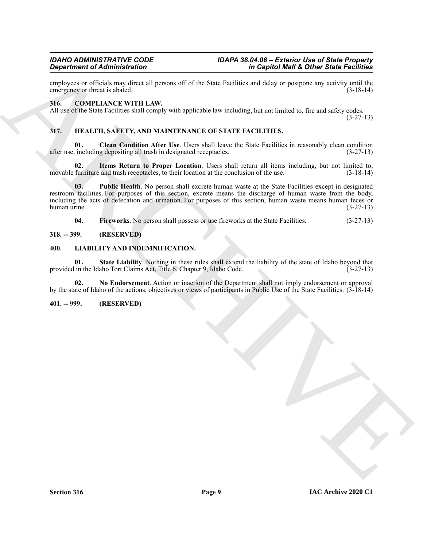employees or officials may direct all persons off of the State Facilities and delay or postpone any activity until the emergency or threat is abated. (3-18-14) emergency or threat is abated.

### <span id="page-8-5"></span><span id="page-8-0"></span>**316. COMPLIANCE WITH LAW.**

All use of the State Facilities shall comply with applicable law including, but not limited to, fire and safety codes.

(3-27-13)

### <span id="page-8-6"></span><span id="page-8-1"></span>**317. HEALTH, SAFETY, AND MAINTENANCE OF STATE FACILITIES.**

<span id="page-8-7"></span>**01.** Clean Condition After Use. Users shall leave the State Facilities in reasonably clean condition, including depositing all trash in designated receptacles. (3-27-13) after use, including depositing all trash in designated receptacles.

<span id="page-8-9"></span>**02. Items Return to Proper Location**. Users shall return all items including, but not limited to, movable furniture and trash receptacles, to their location at the conclusion of the use.  $(3-18-14)$ 

Graphen of Administration Control of the Sink Product of the Sink Product of the Sink Product of the Sink Product of the Sink Product of the Sink Product of the Sink Product of the Sink Product of the Sink Product of the **03. Public Health**. No person shall excrete human waste at the State Facilities except in designated restroom facilities. For purposes of this section, excrete means the discharge of human waste from the body, including the acts of defecation and urination. For purposes of this section, human waste means human feces or human urine. (3-27-13)

<span id="page-8-13"></span><span id="page-8-11"></span><span id="page-8-10"></span><span id="page-8-8"></span>**04.** Fireworks. No person shall possess or use fireworks at the State Facilities. (3-27-13)

### <span id="page-8-2"></span>**318. -- 399. (RESERVED)**

### <span id="page-8-3"></span>**400. LIABILITY AND INDEMNIFICATION.**

**01.** State Liability. Nothing in these rules shall extend the liability of the state of Idaho beyond that in the Idaho Tort Claims Act, Title 6, Chapter 9, Idaho Code. (3-27-13) provided in the Idaho Tort Claims Act, Title 6, Chapter 9, Idaho Code.

<span id="page-8-12"></span>**02. No Endorsement**. Action or inaction of the Department shall not imply endorsement or approval by the state of Idaho of the actions, objectives or views of participants in Public Use of the State Facilities. (3-18-14)

### <span id="page-8-4"></span>**401. -- 999. (RESERVED)**